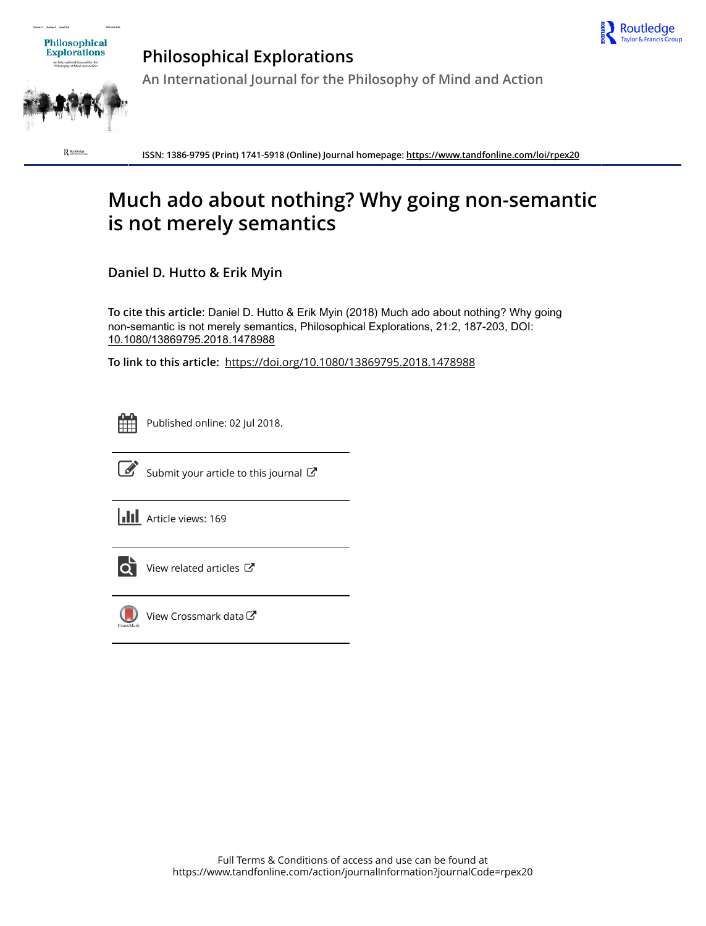



Witnesday - Number 2 - June 2014

**Philosophical Explorations**

**An International Journal for the Philosophy of Mind and Action**

R Routledge

**ISSN: 1386-9795 (Print) 1741-5918 (Online) Journal homepage:<https://www.tandfonline.com/loi/rpex20>**

# **Much ado about nothing? Why going non-semantic is not merely semantics**

**Daniel D. Hutto & Erik Myin**

**To cite this article:** Daniel D. Hutto & Erik Myin (2018) Much ado about nothing? Why going non-semantic is not merely semantics, Philosophical Explorations, 21:2, 187-203, DOI: [10.1080/13869795.2018.1478988](https://www.tandfonline.com/action/showCitFormats?doi=10.1080/13869795.2018.1478988)

**To link to this article:** <https://doi.org/10.1080/13869795.2018.1478988>



Published online: 02 Jul 2018.



 $\overrightarrow{S}$  [Submit your article to this journal](https://www.tandfonline.com/action/authorSubmission?journalCode=rpex20&show=instructions)  $\overrightarrow{S}$ 

**III** Article views: 169



[View related articles](https://www.tandfonline.com/doi/mlt/10.1080/13869795.2018.1478988)  $C$ 



[View Crossmark data](http://crossmark.crossref.org/dialog/?doi=10.1080/13869795.2018.1478988&domain=pdf&date_stamp=2018-07-02)<sup>C</sup>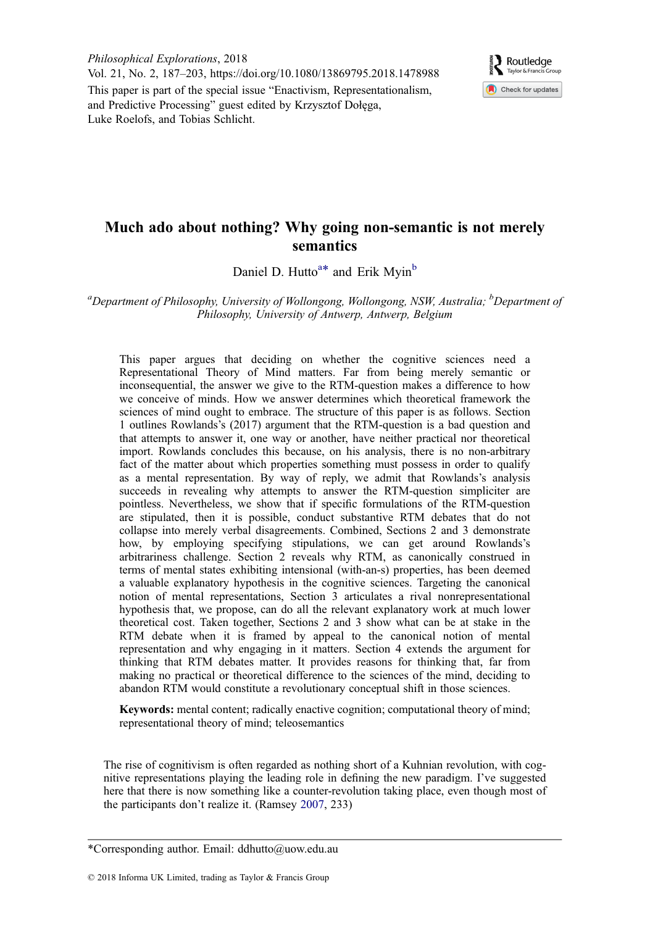<span id="page-1-0"></span>Philosophical Explorations, 2018 Vol. 21, No. 2, 187–203, https://doi.org/10.1080/13869795.2018.1478988

This paper is part of the special issue "Enactivism, Representationalism, and Predictive Processing" guest edited by Krzysztof Dołęga, Luke Roelofs, and Tobias Schlicht.



## Much ado about nothing? Why going non-semantic is not merely semantics

Daniel D. Hutto<sup>a\*</sup> and Erik Myin<sup>b</sup>

 ${}^a$ Department of Philosophy, University of Wollongong, Wollongong, NSW, Australia;  ${}^b$ Department of Philosophy, University of Antwerp, Antwerp, Belgium

This paper argues that deciding on whether the cognitive sciences need a Representational Theory of Mind matters. Far from being merely semantic or inconsequential, the answer we give to the RTM-question makes a difference to how we conceive of minds. How we answer determines which theoretical framework the sciences of mind ought to embrace. The structure of this paper is as follows. Section 1 outlines Rowlands's (2017) argument that the RTM-question is a bad question and that attempts to answer it, one way or another, have neither practical nor theoretical import. Rowlands concludes this because, on his analysis, there is no non-arbitrary fact of the matter about which properties something must possess in order to qualify as a mental representation. By way of reply, we admit that Rowlands's analysis succeeds in revealing why attempts to answer the RTM-question simpliciter are pointless. Nevertheless, we show that if specific formulations of the RTM-question are stipulated, then it is possible, conduct substantive RTM debates that do not collapse into merely verbal disagreements. Combined, Sections 2 and 3 demonstrate how, by employing specifying stipulations, we can get around Rowlands's arbitrariness challenge. Section 2 reveals why RTM, as canonically construed in terms of mental states exhibiting intensional (with-an-s) properties, has been deemed a valuable explanatory hypothesis in the cognitive sciences. Targeting the canonical notion of mental representations, Section 3 articulates a rival nonrepresentational hypothesis that, we propose, can do all the relevant explanatory work at much lower theoretical cost. Taken together, Sections 2 and 3 show what can be at stake in the RTM debate when it is framed by appeal to the canonical notion of mental representation and why engaging in it matters. Section 4 extends the argument for thinking that RTM debates matter. It provides reasons for thinking that, far from making no practical or theoretical difference to the sciences of the mind, deciding to abandon RTM would constitute a revolutionary conceptual shift in those sciences.

Keywords: mental content; radically enactive cognition; computational theory of mind; representational theory of mind; teleosemantics

The rise of cognitivism is often regarded as nothing short of a Kuhnian revolution, with cognitive representations playing the leading role in defining the new paradigm. I've suggested here that there is now something like a counter-revolution taking place, even though most of the participants don't realize it. (Ramsey [2007](#page-17-0), 233)

<sup>\*</sup>Corresponding author. Email: [ddhutto@uow.edu.au](mailto:ddhutto@uow.edu.au)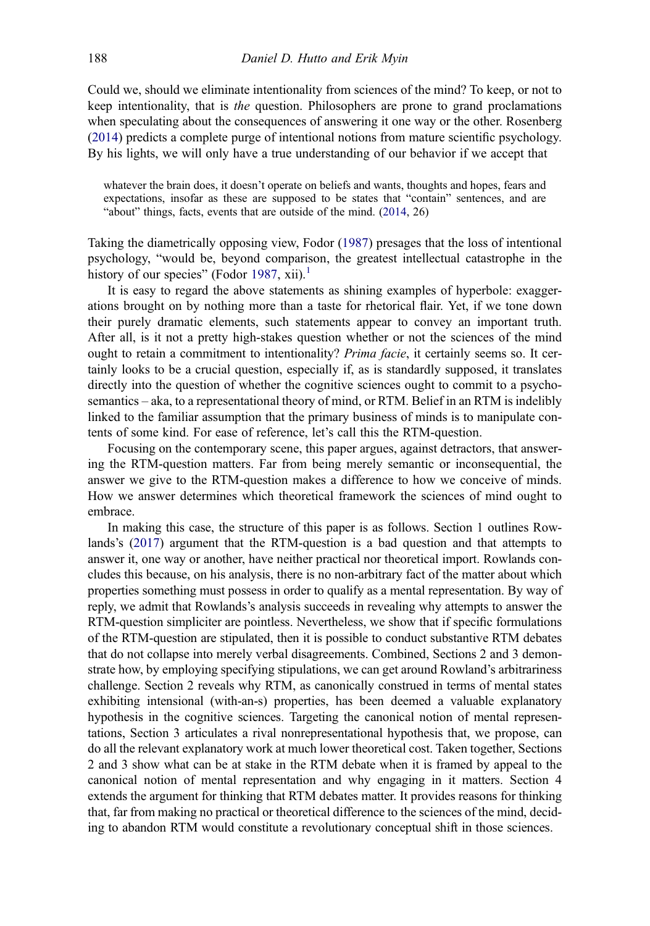<span id="page-2-0"></span>Could we, should we eliminate intentionality from sciences of the mind? To keep, or not to keep intentionality, that is the question. Philosophers are prone to grand proclamations when speculating about the consequences of answering it one way or the other. Rosenberg ([2014\)](#page-17-0) predicts a complete purge of intentional notions from mature scientific psychology. By his lights, we will only have a true understanding of our behavior if we accept that

whatever the brain does, it doesn't operate on beliefs and wants, thoughts and hopes, fears and expectations, insofar as these are supposed to be states that "contain" sentences, and are "about" things, facts, events that are outside of the mind. ([2014,](#page-17-0) 26)

Taking the diametrically opposing view, Fodor ([1987\)](#page-16-0) presages that the loss of intentional psychology, "would be, beyond comparison, the greatest intellectual catastrophe in the history of our species" (Fodor [1987,](#page-16-0) xii).<sup>[1](#page-14-0)</sup>

It is easy to regard the above statements as shining examples of hyperbole: exaggerations brought on by nothing more than a taste for rhetorical flair. Yet, if we tone down their purely dramatic elements, such statements appear to convey an important truth. After all, is it not a pretty high-stakes question whether or not the sciences of the mind ought to retain a commitment to intentionality? Prima facie, it certainly seems so. It certainly looks to be a crucial question, especially if, as is standardly supposed, it translates directly into the question of whether the cognitive sciences ought to commit to a psychosemantics – aka, to a representational theory of mind, or RTM. Belief in an RTM is indelibly linked to the familiar assumption that the primary business of minds is to manipulate contents of some kind. For ease of reference, let's call this the RTM-question.

Focusing on the contemporary scene, this paper argues, against detractors, that answering the RTM-question matters. Far from being merely semantic or inconsequential, the answer we give to the RTM-question makes a difference to how we conceive of minds. How we answer determines which theoretical framework the sciences of mind ought to embrace.

In making this case, the structure of this paper is as follows. Section 1 outlines Rowlands's [\(2017](#page-17-0)) argument that the RTM-question is a bad question and that attempts to answer it, one way or another, have neither practical nor theoretical import. Rowlands concludes this because, on his analysis, there is no non-arbitrary fact of the matter about which properties something must possess in order to qualify as a mental representation. By way of reply, we admit that Rowlands's analysis succeeds in revealing why attempts to answer the RTM-question simpliciter are pointless. Nevertheless, we show that if specific formulations of the RTM-question are stipulated, then it is possible to conduct substantive RTM debates that do not collapse into merely verbal disagreements. Combined, Sections 2 and 3 demonstrate how, by employing specifying stipulations, we can get around Rowland's arbitrariness challenge. Section 2 reveals why RTM, as canonically construed in terms of mental states exhibiting intensional (with-an-s) properties, has been deemed a valuable explanatory hypothesis in the cognitive sciences. Targeting the canonical notion of mental representations, Section 3 articulates a rival nonrepresentational hypothesis that, we propose, can do all the relevant explanatory work at much lower theoretical cost. Taken together, Sections 2 and 3 show what can be at stake in the RTM debate when it is framed by appeal to the canonical notion of mental representation and why engaging in it matters. Section 4 extends the argument for thinking that RTM debates matter. It provides reasons for thinking that, far from making no practical or theoretical difference to the sciences of the mind, deciding to abandon RTM would constitute a revolutionary conceptual shift in those sciences.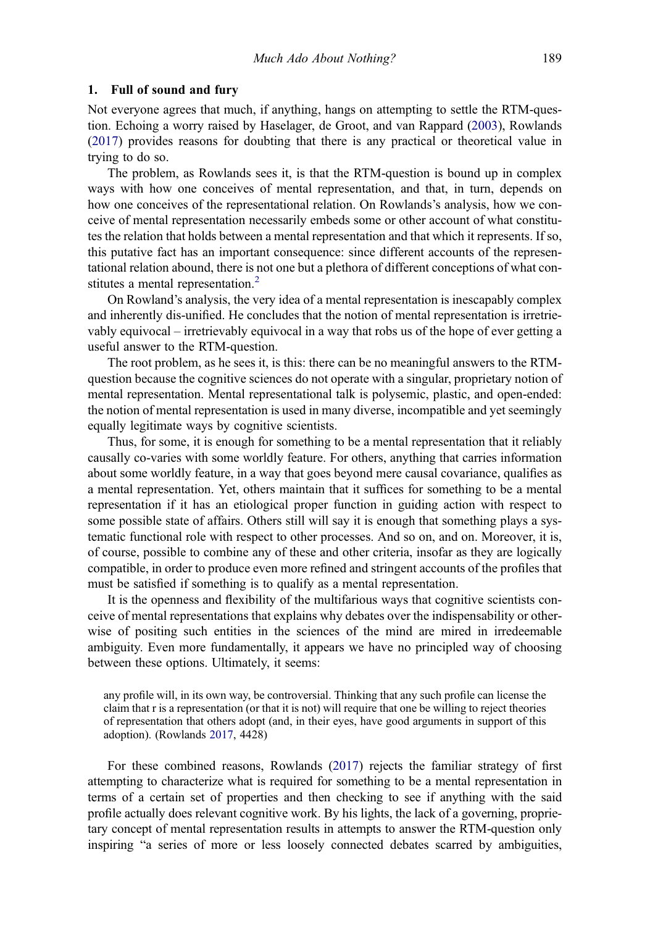#### <span id="page-3-0"></span>1. Full of sound and fury

Not everyone agrees that much, if anything, hangs on attempting to settle the RTM-question. Echoing a worry raised by Haselager, de Groot, and van Rappard [\(2003](#page-16-0)), Rowlands ([2017\)](#page-17-0) provides reasons for doubting that there is any practical or theoretical value in trying to do so.

The problem, as Rowlands sees it, is that the RTM-question is bound up in complex ways with how one conceives of mental representation, and that, in turn, depends on how one conceives of the representational relation. On Rowlands's analysis, how we conceive of mental representation necessarily embeds some or other account of what constitutes the relation that holds between a mental representation and that which it represents. If so, this putative fact has an important consequence: since different accounts of the representational relation abound, there is not one but a plethora of different conceptions of what con-stitutes a mental representation.<sup>[2](#page-14-0)</sup>

On Rowland's analysis, the very idea of a mental representation is inescapably complex and inherently dis-unified. He concludes that the notion of mental representation is irretrievably equivocal – irretrievably equivocal in a way that robs us of the hope of ever getting a useful answer to the RTM-question.

The root problem, as he sees it, is this: there can be no meaningful answers to the RTMquestion because the cognitive sciences do not operate with a singular, proprietary notion of mental representation. Mental representational talk is polysemic, plastic, and open-ended: the notion of mental representation is used in many diverse, incompatible and yet seemingly equally legitimate ways by cognitive scientists.

Thus, for some, it is enough for something to be a mental representation that it reliably causally co-varies with some worldly feature. For others, anything that carries information about some worldly feature, in a way that goes beyond mere causal covariance, qualifies as a mental representation. Yet, others maintain that it suffices for something to be a mental representation if it has an etiological proper function in guiding action with respect to some possible state of affairs. Others still will say it is enough that something plays a systematic functional role with respect to other processes. And so on, and on. Moreover, it is, of course, possible to combine any of these and other criteria, insofar as they are logically compatible, in order to produce even more refined and stringent accounts of the profiles that must be satisfied if something is to qualify as a mental representation.

It is the openness and flexibility of the multifarious ways that cognitive scientists conceive of mental representations that explains why debates over the indispensability or otherwise of positing such entities in the sciences of the mind are mired in irredeemable ambiguity. Even more fundamentally, it appears we have no principled way of choosing between these options. Ultimately, it seems:

any profile will, in its own way, be controversial. Thinking that any such profile can license the claim that r is a representation (or that it is not) will require that one be willing to reject theories of representation that others adopt (and, in their eyes, have good arguments in support of this adoption). (Rowlands [2017](#page-17-0), 4428)

For these combined reasons, Rowlands ([2017](#page-17-0)) rejects the familiar strategy of first attempting to characterize what is required for something to be a mental representation in terms of a certain set of properties and then checking to see if anything with the said profile actually does relevant cognitive work. By his lights, the lack of a governing, proprietary concept of mental representation results in attempts to answer the RTM-question only inspiring "a series of more or less loosely connected debates scarred by ambiguities,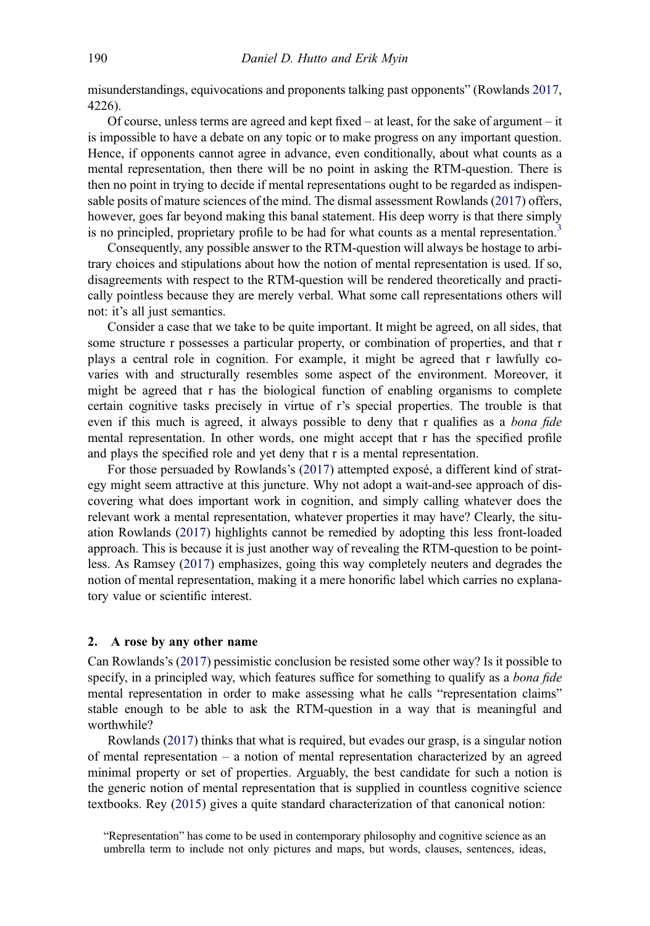<span id="page-4-0"></span>misunderstandings, equivocations and proponents talking past opponents" (Rowlands [2017](#page-17-0), 4226).

Of course, unless terms are agreed and kept fixed – at least, for the sake of argument – it is impossible to have a debate on any topic or to make progress on any important question. Hence, if opponents cannot agree in advance, even conditionally, about what counts as a mental representation, then there will be no point in asking the RTM-question. There is then no point in trying to decide if mental representations ought to be regarded as indispensable posits of mature sciences of the mind. The dismal assessment Rowlands ([2017\)](#page-17-0) offers, however, goes far beyond making this banal statement. His deep worry is that there simply is no principled, proprietary profile to be had for what counts as a mental representation.<sup>[3](#page-14-0)</sup>

Consequently, any possible answer to the RTM-question will always be hostage to arbitrary choices and stipulations about how the notion of mental representation is used. If so, disagreements with respect to the RTM-question will be rendered theoretically and practically pointless because they are merely verbal. What some call representations others will not: it's all just semantics.

Consider a case that we take to be quite important. It might be agreed, on all sides, that some structure r possesses a particular property, or combination of properties, and that r plays a central role in cognition. For example, it might be agreed that r lawfully covaries with and structurally resembles some aspect of the environment. Moreover, it might be agreed that r has the biological function of enabling organisms to complete certain cognitive tasks precisely in virtue of r's special properties. The trouble is that even if this much is agreed, it always possible to deny that r qualifies as a *bona fide* mental representation. In other words, one might accept that r has the specified profile and plays the specified role and yet deny that r is a mental representation.

For those persuaded by Rowlands's [\(2017](#page-17-0)) attempted exposé, a different kind of strategy might seem attractive at this juncture. Why not adopt a wait-and-see approach of discovering what does important work in cognition, and simply calling whatever does the relevant work a mental representation, whatever properties it may have? Clearly, the situation Rowlands ([2017\)](#page-17-0) highlights cannot be remedied by adopting this less front-loaded approach. This is because it is just another way of revealing the RTM-question to be pointless. As Ramsey [\(2017\)](#page-17-0) emphasizes, going this way completely neuters and degrades the notion of mental representation, making it a mere honorific label which carries no explanatory value or scientific interest.

#### 2. A rose by any other name

Can Rowlands's ([2017\)](#page-17-0) pessimistic conclusion be resisted some other way? Is it possible to specify, in a principled way, which features suffice for something to qualify as a *bona fide* mental representation in order to make assessing what he calls "representation claims" stable enough to be able to ask the RTM-question in a way that is meaningful and worthwhile?

Rowlands [\(2017](#page-17-0)) thinks that what is required, but evades our grasp, is a singular notion of mental representation – a notion of mental representation characterized by an agreed minimal property or set of properties. Arguably, the best candidate for such a notion is the generic notion of mental representation that is supplied in countless cognitive science textbooks. Rey [\(2015](#page-17-0)) gives a quite standard characterization of that canonical notion:

<sup>&</sup>quot;Representation" has come to be used in contemporary philosophy and cognitive science as an umbrella term to include not only pictures and maps, but words, clauses, sentences, ideas,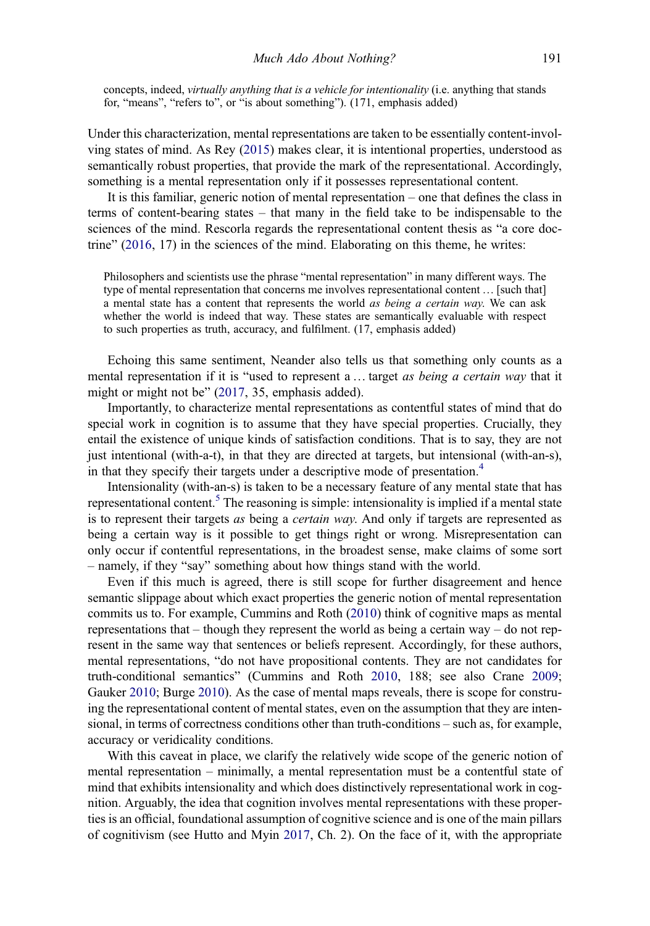<span id="page-5-0"></span>concepts, indeed, *virtually anything that is a vehicle for intentionality* (i.e. anything that stands for, "means", "refers to", or "is about something"). (171, emphasis added)

Under this characterization, mental representations are taken to be essentially content-involving states of mind. As Rey ([2015\)](#page-17-0) makes clear, it is intentional properties, understood as semantically robust properties, that provide the mark of the representational. Accordingly, something is a mental representation only if it possesses representational content.

It is this familiar, generic notion of mental representation – one that defines the class in terms of content-bearing states – that many in the field take to be indispensable to the sciences of the mind. Rescorla regards the representational content thesis as "a core doctrine" [\(2016](#page-17-0), 17) in the sciences of the mind. Elaborating on this theme, he writes:

Philosophers and scientists use the phrase "mental representation" in many different ways. The type of mental representation that concerns me involves representational content … [such that] a mental state has a content that represents the world *as being a certain way*. We can ask whether the world is indeed that way. These states are semantically evaluable with respect to such properties as truth, accuracy, and fulfilment. (17, emphasis added)

Echoing this same sentiment, Neander also tells us that something only counts as a mental representation if it is "used to represent a ... target *as being a certain way* that it might or might not be" ([2017,](#page-16-0) 35, emphasis added).

Importantly, to characterize mental representations as contentful states of mind that do special work in cognition is to assume that they have special properties. Crucially, they entail the existence of unique kinds of satisfaction conditions. That is to say, they are not just intentional (with-a-t), in that they are directed at targets, but intensional (with-an-s), in that they specify their targets under a descriptive mode of presentation.<sup>[4](#page-15-0)</sup>

Intensionality (with-an-s) is taken to be a necessary feature of any mental state that has representational content.<sup>[5](#page-15-0)</sup> The reasoning is simple: intensionality is implied if a mental state is to represent their targets as being a *certain way*. And only if targets are represented as being a certain way is it possible to get things right or wrong. Misrepresentation can only occur if contentful representations, in the broadest sense, make claims of some sort – namely, if they "say" something about how things stand with the world.

Even if this much is agreed, there is still scope for further disagreement and hence semantic slippage about which exact properties the generic notion of mental representation commits us to. For example, Cummins and Roth [\(2010](#page-16-0)) think of cognitive maps as mental representations that – though they represent the world as being a certain way – do not represent in the same way that sentences or beliefs represent. Accordingly, for these authors, mental representations, "do not have propositional contents. They are not candidates for truth-conditional semantics" (Cummins and Roth [2010,](#page-16-0) 188; see also Crane [2009;](#page-16-0) Gauker [2010](#page-16-0); Burge [2010](#page-16-0)). As the case of mental maps reveals, there is scope for construing the representational content of mental states, even on the assumption that they are intensional, in terms of correctness conditions other than truth-conditions – such as, for example, accuracy or veridicality conditions.

With this caveat in place, we clarify the relatively wide scope of the generic notion of mental representation – minimally, a mental representation must be a contentful state of mind that exhibits intensionality and which does distinctively representational work in cognition. Arguably, the idea that cognition involves mental representations with these properties is an official, foundational assumption of cognitive science and is one of the main pillars of cognitivism (see Hutto and Myin [2017](#page-16-0), Ch. 2). On the face of it, with the appropriate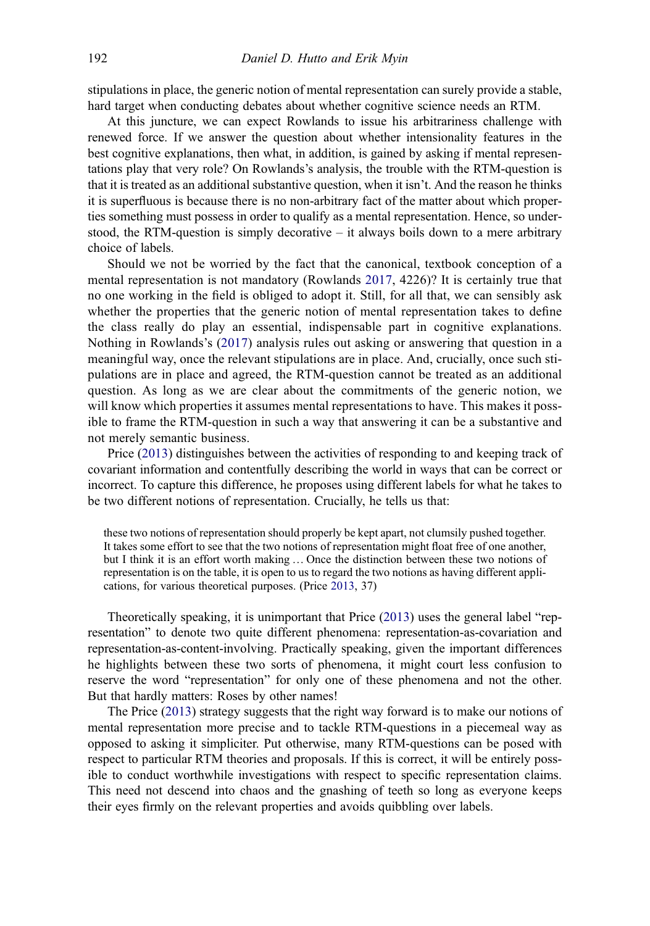<span id="page-6-0"></span>stipulations in place, the generic notion of mental representation can surely provide a stable, hard target when conducting debates about whether cognitive science needs an RTM.

At this juncture, we can expect Rowlands to issue his arbitrariness challenge with renewed force. If we answer the question about whether intensionality features in the best cognitive explanations, then what, in addition, is gained by asking if mental representations play that very role? On Rowlands's analysis, the trouble with the RTM-question is that it is treated as an additional substantive question, when it isn't. And the reason he thinks it is superfluous is because there is no non-arbitrary fact of the matter about which properties something must possess in order to qualify as a mental representation. Hence, so understood, the RTM-question is simply decorative – it always boils down to a mere arbitrary choice of labels.

Should we not be worried by the fact that the canonical, textbook conception of a mental representation is not mandatory (Rowlands [2017,](#page-17-0) 4226)? It is certainly true that no one working in the field is obliged to adopt it. Still, for all that, we can sensibly ask whether the properties that the generic notion of mental representation takes to define the class really do play an essential, indispensable part in cognitive explanations. Nothing in Rowlands's ([2017](#page-17-0)) analysis rules out asking or answering that question in a meaningful way, once the relevant stipulations are in place. And, crucially, once such stipulations are in place and agreed, the RTM-question cannot be treated as an additional question. As long as we are clear about the commitments of the generic notion, we will know which properties it assumes mental representations to have. This makes it possible to frame the RTM-question in such a way that answering it can be a substantive and not merely semantic business.

Price ([2013\)](#page-16-0) distinguishes between the activities of responding to and keeping track of covariant information and contentfully describing the world in ways that can be correct or incorrect. To capture this difference, he proposes using different labels for what he takes to be two different notions of representation. Crucially, he tells us that:

these two notions of representation should properly be kept apart, not clumsily pushed together. It takes some effort to see that the two notions of representation might float free of one another, but I think it is an effort worth making … Once the distinction between these two notions of representation is on the table, it is open to us to regard the two notions as having different applications, for various theoretical purposes. (Price [2013](#page-16-0), 37)

Theoretically speaking, it is unimportant that Price [\(2013](#page-16-0)) uses the general label "representation" to denote two quite different phenomena: representation-as-covariation and representation-as-content-involving. Practically speaking, given the important differences he highlights between these two sorts of phenomena, it might court less confusion to reserve the word "representation" for only one of these phenomena and not the other. But that hardly matters: Roses by other names!

The Price ([2013\)](#page-16-0) strategy suggests that the right way forward is to make our notions of mental representation more precise and to tackle RTM-questions in a piecemeal way as opposed to asking it simpliciter. Put otherwise, many RTM-questions can be posed with respect to particular RTM theories and proposals. If this is correct, it will be entirely possible to conduct worthwhile investigations with respect to specific representation claims. This need not descend into chaos and the gnashing of teeth so long as everyone keeps their eyes firmly on the relevant properties and avoids quibbling over labels.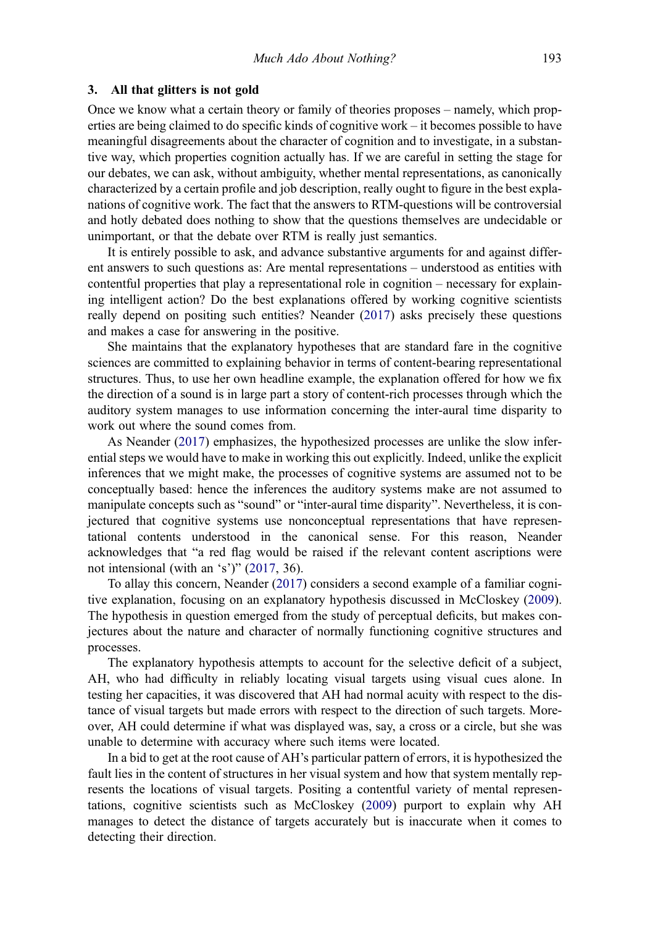#### <span id="page-7-0"></span>3. All that glitters is not gold

Once we know what a certain theory or family of theories proposes – namely, which properties are being claimed to do specific kinds of cognitive work – it becomes possible to have meaningful disagreements about the character of cognition and to investigate, in a substantive way, which properties cognition actually has. If we are careful in setting the stage for our debates, we can ask, without ambiguity, whether mental representations, as canonically characterized by a certain profile and job description, really ought to figure in the best explanations of cognitive work. The fact that the answers to RTM-questions will be controversial and hotly debated does nothing to show that the questions themselves are undecidable or unimportant, or that the debate over RTM is really just semantics.

It is entirely possible to ask, and advance substantive arguments for and against different answers to such questions as: Are mental representations – understood as entities with contentful properties that play a representational role in cognition – necessary for explaining intelligent action? Do the best explanations offered by working cognitive scientists really depend on positing such entities? Neander [\(2017](#page-16-0)) asks precisely these questions and makes a case for answering in the positive.

She maintains that the explanatory hypotheses that are standard fare in the cognitive sciences are committed to explaining behavior in terms of content-bearing representational structures. Thus, to use her own headline example, the explanation offered for how we fix the direction of a sound is in large part a story of content-rich processes through which the auditory system manages to use information concerning the inter-aural time disparity to work out where the sound comes from.

As Neander ([2017\)](#page-16-0) emphasizes, the hypothesized processes are unlike the slow inferential steps we would have to make in working this out explicitly. Indeed, unlike the explicit inferences that we might make, the processes of cognitive systems are assumed not to be conceptually based: hence the inferences the auditory systems make are not assumed to manipulate concepts such as "sound" or "inter-aural time disparity". Nevertheless, it is conjectured that cognitive systems use nonconceptual representations that have representational contents understood in the canonical sense. For this reason, Neander acknowledges that "a red flag would be raised if the relevant content ascriptions were not intensional (with an 's')" [\(2017](#page-16-0), 36).

To allay this concern, Neander ([2017\)](#page-16-0) considers a second example of a familiar cognitive explanation, focusing on an explanatory hypothesis discussed in McCloskey ([2009\)](#page-16-0). The hypothesis in question emerged from the study of perceptual deficits, but makes conjectures about the nature and character of normally functioning cognitive structures and processes.

The explanatory hypothesis attempts to account for the selective deficit of a subject, AH, who had difficulty in reliably locating visual targets using visual cues alone. In testing her capacities, it was discovered that AH had normal acuity with respect to the distance of visual targets but made errors with respect to the direction of such targets. Moreover, AH could determine if what was displayed was, say, a cross or a circle, but she was unable to determine with accuracy where such items were located.

In a bid to get at the root cause of AH's particular pattern of errors, it is hypothesized the fault lies in the content of structures in her visual system and how that system mentally represents the locations of visual targets. Positing a contentful variety of mental representations, cognitive scientists such as McCloskey ([2009\)](#page-16-0) purport to explain why AH manages to detect the distance of targets accurately but is inaccurate when it comes to detecting their direction.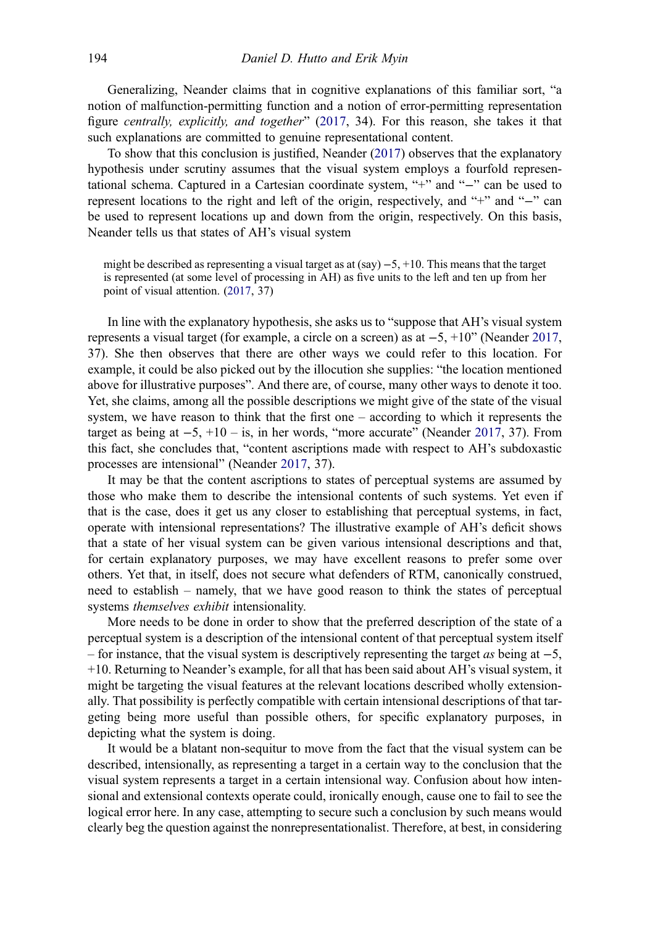Generalizing, Neander claims that in cognitive explanations of this familiar sort, "a notion of malfunction-permitting function and a notion of error-permitting representation figure centrally, explicitly, and together" ([2017,](#page-16-0) 34). For this reason, she takes it that such explanations are committed to genuine representational content.

To show that this conclusion is justified, Neander [\(2017](#page-16-0)) observes that the explanatory hypothesis under scrutiny assumes that the visual system employs a fourfold representational schema. Captured in a Cartesian coordinate system, "+" and "−" can be used to represent locations to the right and left of the origin, respectively, and "+" and "−" can be used to represent locations up and down from the origin, respectively. On this basis, Neander tells us that states of AH's visual system

might be described as representing a visual target as at (say)  $-5$ , +10. This means that the target is represented (at some level of processing in AH) as five units to the left and ten up from her point of visual attention. ([2017,](#page-16-0) 37)

In line with the explanatory hypothesis, she asks us to "suppose that AH's visual system represents a visual target (for example, a circle on a screen) as at  $-5$ ,  $+10$ " (Neander [2017](#page-16-0), 37). She then observes that there are other ways we could refer to this location. For example, it could be also picked out by the illocution she supplies: "the location mentioned above for illustrative purposes". And there are, of course, many other ways to denote it too. Yet, she claims, among all the possible descriptions we might give of the state of the visual system, we have reason to think that the first one – according to which it represents the target as being at −5, +10 – is, in her words, "more accurate" (Neander [2017,](#page-16-0) 37). From this fact, she concludes that, "content ascriptions made with respect to AH's subdoxastic processes are intensional" (Neander [2017](#page-16-0), 37).

It may be that the content ascriptions to states of perceptual systems are assumed by those who make them to describe the intensional contents of such systems. Yet even if that is the case, does it get us any closer to establishing that perceptual systems, in fact, operate with intensional representations? The illustrative example of AH's deficit shows that a state of her visual system can be given various intensional descriptions and that, for certain explanatory purposes, we may have excellent reasons to prefer some over others. Yet that, in itself, does not secure what defenders of RTM, canonically construed, need to establish – namely, that we have good reason to think the states of perceptual systems themselves exhibit intensionality.

More needs to be done in order to show that the preferred description of the state of a perceptual system is a description of the intensional content of that perceptual system itself – for instance, that the visual system is descriptively representing the target as being at  $-5$ , +10. Returning to Neander's example, for all that has been said about AH's visual system, it might be targeting the visual features at the relevant locations described wholly extensionally. That possibility is perfectly compatible with certain intensional descriptions of that targeting being more useful than possible others, for specific explanatory purposes, in depicting what the system is doing.

It would be a blatant non-sequitur to move from the fact that the visual system can be described, intensionally, as representing a target in a certain way to the conclusion that the visual system represents a target in a certain intensional way. Confusion about how intensional and extensional contexts operate could, ironically enough, cause one to fail to see the logical error here. In any case, attempting to secure such a conclusion by such means would clearly beg the question against the nonrepresentationalist. Therefore, at best, in considering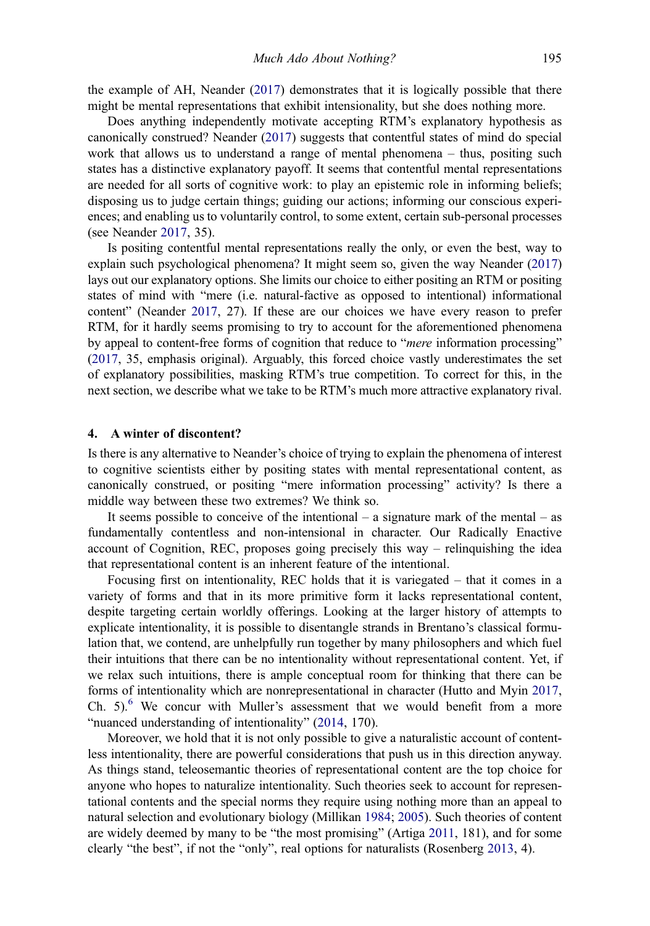<span id="page-9-0"></span>the example of AH, Neander ([2017\)](#page-16-0) demonstrates that it is logically possible that there might be mental representations that exhibit intensionality, but she does nothing more.

Does anything independently motivate accepting RTM's explanatory hypothesis as canonically construed? Neander [\(2017\)](#page-16-0) suggests that contentful states of mind do special work that allows us to understand a range of mental phenomena – thus, positing such states has a distinctive explanatory payoff. It seems that contentful mental representations are needed for all sorts of cognitive work: to play an epistemic role in informing beliefs; disposing us to judge certain things; guiding our actions; informing our conscious experiences; and enabling us to voluntarily control, to some extent, certain sub-personal processes (see Neander [2017](#page-16-0), 35).

Is positing contentful mental representations really the only, or even the best, way to explain such psychological phenomena? It might seem so, given the way Neander ([2017](#page-16-0)) lays out our explanatory options. She limits our choice to either positing an RTM or positing states of mind with "mere (i.e. natural-factive as opposed to intentional) informational content" (Neander [2017](#page-16-0), 27). If these are our choices we have every reason to prefer RTM, for it hardly seems promising to try to account for the aforementioned phenomena by appeal to content-free forms of cognition that reduce to "mere information processing" ([2017,](#page-16-0) 35, emphasis original). Arguably, this forced choice vastly underestimates the set of explanatory possibilities, masking RTM's true competition. To correct for this, in the next section, we describe what we take to be RTM's much more attractive explanatory rival.

### 4. A winter of discontent?

Is there is any alternative to Neander's choice of trying to explain the phenomena of interest to cognitive scientists either by positing states with mental representational content, as canonically construed, or positing "mere information processing" activity? Is there a middle way between these two extremes? We think so.

It seems possible to conceive of the intentional  $-$  a signature mark of the mental  $-$  as fundamentally contentless and non-intensional in character. Our Radically Enactive account of Cognition, REC, proposes going precisely this way – relinquishing the idea that representational content is an inherent feature of the intentional.

Focusing first on intentionality, REC holds that it is variegated – that it comes in a variety of forms and that in its more primitive form it lacks representational content, despite targeting certain worldly offerings. Looking at the larger history of attempts to explicate intentionality, it is possible to disentangle strands in Brentano's classical formulation that, we contend, are unhelpfully run together by many philosophers and which fuel their intuitions that there can be no intentionality without representational content. Yet, if we relax such intuitions, there is ample conceptual room for thinking that there can be forms of intentionality which are nonrepresentational in character (Hutto and Myin [2017](#page-16-0), Ch.  $5$ <sup>[6](#page-15-0)</sup>. We concur with Muller's assessment that we would benefit from a more "nuanced understanding of intentionality" [\(2014](#page-16-0), 170).

Moreover, we hold that it is not only possible to give a naturalistic account of contentless intentionality, there are powerful considerations that push us in this direction anyway. As things stand, teleosemantic theories of representational content are the top choice for anyone who hopes to naturalize intentionality. Such theories seek to account for representational contents and the special norms they require using nothing more than an appeal to natural selection and evolutionary biology (Millikan [1984;](#page-16-0) [2005](#page-16-0)). Such theories of content are widely deemed by many to be "the most promising" (Artiga [2011](#page-16-0), 181), and for some clearly "the best", if not the "only", real options for naturalists (Rosenberg [2013](#page-17-0), 4).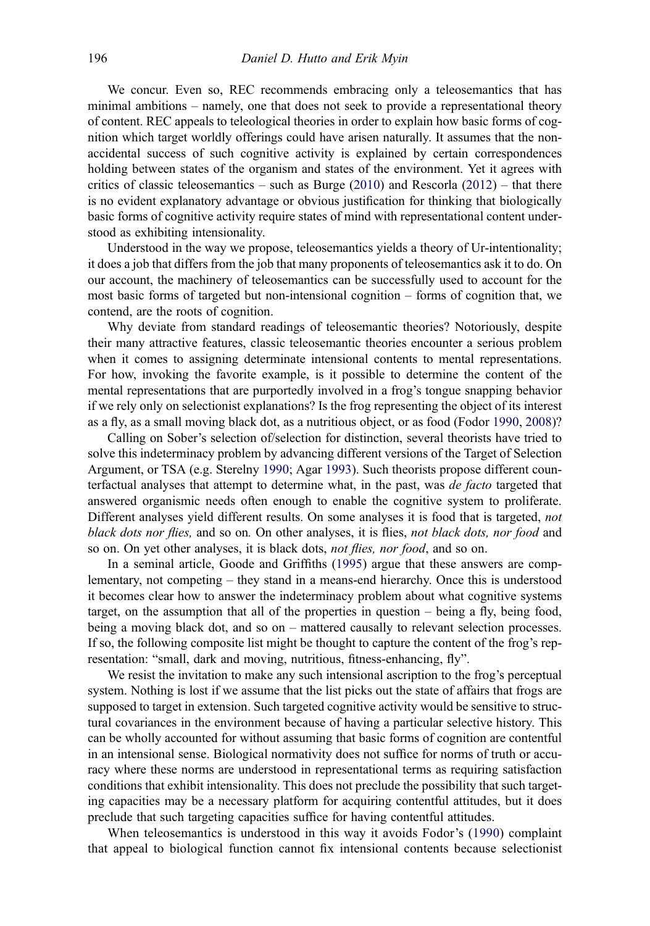<span id="page-10-0"></span>We concur. Even so, REC recommends embracing only a teleosemantics that has minimal ambitions – namely, one that does not seek to provide a representational theory of content. REC appeals to teleological theories in order to explain how basic forms of cognition which target worldly offerings could have arisen naturally. It assumes that the nonaccidental success of such cognitive activity is explained by certain correspondences holding between states of the organism and states of the environment. Yet it agrees with critics of classic teleosemantics – such as Burge  $(2010)$  $(2010)$  and Rescorla  $(2012)$  $(2012)$  – that there is no evident explanatory advantage or obvious justification for thinking that biologically basic forms of cognitive activity require states of mind with representational content understood as exhibiting intensionality.

Understood in the way we propose, teleosemantics yields a theory of Ur-intentionality; it does a job that differs from the job that many proponents of teleosemantics ask it to do. On our account, the machinery of teleosemantics can be successfully used to account for the most basic forms of targeted but non-intensional cognition – forms of cognition that, we contend, are the roots of cognition.

Why deviate from standard readings of teleosemantic theories? Notoriously, despite their many attractive features, classic teleosemantic theories encounter a serious problem when it comes to assigning determinate intensional contents to mental representations. For how, invoking the favorite example, is it possible to determine the content of the mental representations that are purportedly involved in a frog's tongue snapping behavior if we rely only on selectionist explanations? Is the frog representing the object of its interest as a fly, as a small moving black dot, as a nutritious object, or as food (Fodor [1990](#page-16-0), [2008](#page-16-0))?

Calling on Sober's selection of/selection for distinction, several theorists have tried to solve this indeterminacy problem by advancing different versions of the Target of Selection Argument, or TSA (e.g. Sterelny [1990](#page-17-0); Agar [1993](#page-16-0)). Such theorists propose different counterfactual analyses that attempt to determine what, in the past, was de facto targeted that answered organismic needs often enough to enable the cognitive system to proliferate. Different analyses yield different results. On some analyses it is food that is targeted, not black dots nor flies, and so on. On other analyses, it is flies, not black dots, nor food and so on. On yet other analyses, it is black dots, not flies, nor food, and so on.

In a seminal article, Goode and Griffiths [\(1995](#page-16-0)) argue that these answers are complementary, not competing – they stand in a means-end hierarchy. Once this is understood it becomes clear how to answer the indeterminacy problem about what cognitive systems target, on the assumption that all of the properties in question – being a fly, being food, being a moving black dot, and so on – mattered causally to relevant selection processes. If so, the following composite list might be thought to capture the content of the frog's representation: "small, dark and moving, nutritious, fitness-enhancing, fly".

We resist the invitation to make any such intensional ascription to the frog's perceptual system. Nothing is lost if we assume that the list picks out the state of affairs that frogs are supposed to target in extension. Such targeted cognitive activity would be sensitive to structural covariances in the environment because of having a particular selective history. This can be wholly accounted for without assuming that basic forms of cognition are contentful in an intensional sense. Biological normativity does not suffice for norms of truth or accuracy where these norms are understood in representational terms as requiring satisfaction conditions that exhibit intensionality. This does not preclude the possibility that such targeting capacities may be a necessary platform for acquiring contentful attitudes, but it does preclude that such targeting capacities suffice for having contentful attitudes.

When teleosemantics is understood in this way it avoids Fodor's ([1990](#page-16-0)) complaint that appeal to biological function cannot fix intensional contents because selectionist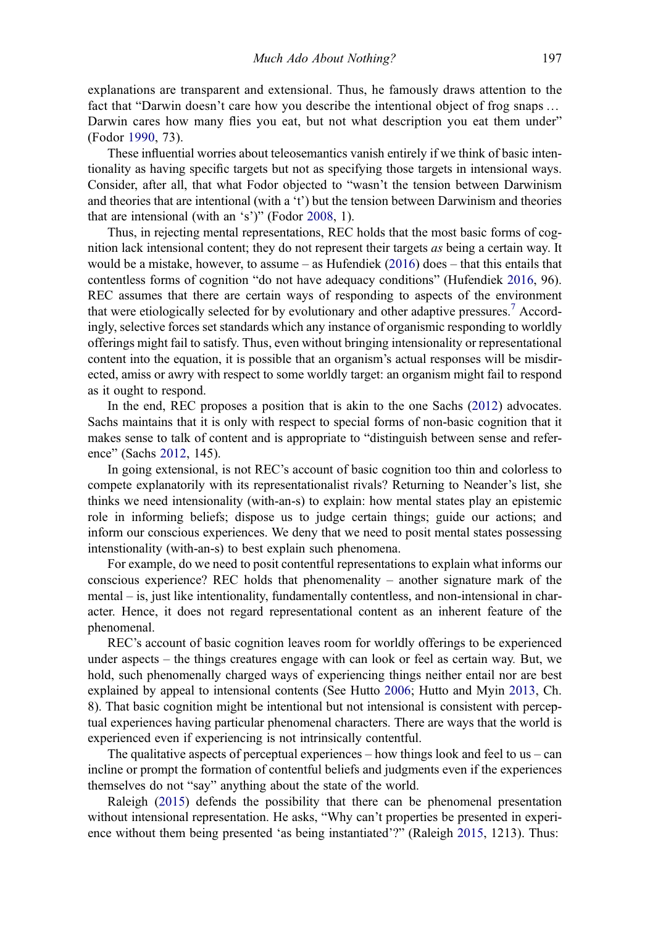<span id="page-11-0"></span>explanations are transparent and extensional. Thus, he famously draws attention to the fact that "Darwin doesn't care how you describe the intentional object of frog snaps … Darwin cares how many flies you eat, but not what description you eat them under" (Fodor [1990,](#page-16-0) 73).

These influential worries about teleosemantics vanish entirely if we think of basic intentionality as having specific targets but not as specifying those targets in intensional ways. Consider, after all, that what Fodor objected to "wasn't the tension between Darwinism and theories that are intentional (with a 't') but the tension between Darwinism and theories that are intensional (with an 's')" (Fodor [2008](#page-16-0), 1).

Thus, in rejecting mental representations, REC holds that the most basic forms of cognition lack intensional content; they do not represent their targets as being a certain way. It would be a mistake, however, to assume – as Hufendiek [\(2016](#page-16-0)) does – that this entails that contentless forms of cognition "do not have adequacy conditions" (Hufendiek [2016](#page-16-0), 96). REC assumes that there are certain ways of responding to aspects of the environment that were etiologically selected for by evolutionary and other adaptive pressures.<sup>[7](#page-15-0)</sup> Accordingly, selective forces set standards which any instance of organismic responding to worldly offerings might fail to satisfy. Thus, even without bringing intensionality or representational content into the equation, it is possible that an organism's actual responses will be misdirected, amiss or awry with respect to some worldly target: an organism might fail to respond as it ought to respond.

In the end, REC proposes a position that is akin to the one Sachs [\(2012](#page-17-0)) advocates. Sachs maintains that it is only with respect to special forms of non-basic cognition that it makes sense to talk of content and is appropriate to "distinguish between sense and reference" (Sachs [2012,](#page-17-0) 145).

In going extensional, is not REC's account of basic cognition too thin and colorless to compete explanatorily with its representationalist rivals? Returning to Neander's list, she thinks we need intensionality (with-an-s) to explain: how mental states play an epistemic role in informing beliefs; dispose us to judge certain things; guide our actions; and inform our conscious experiences. We deny that we need to posit mental states possessing intenstionality (with-an-s) to best explain such phenomena.

For example, do we need to posit contentful representations to explain what informs our conscious experience? REC holds that phenomenality – another signature mark of the mental – is, just like intentionality, fundamentally contentless, and non-intensional in character. Hence, it does not regard representational content as an inherent feature of the phenomenal.

REC's account of basic cognition leaves room for worldly offerings to be experienced under aspects – the things creatures engage with can look or feel as certain way. But, we hold, such phenomenally charged ways of experiencing things neither entail nor are best explained by appeal to intensional contents (See Hutto [2006;](#page-16-0) Hutto and Myin [2013,](#page-16-0) Ch. 8). That basic cognition might be intentional but not intensional is consistent with perceptual experiences having particular phenomenal characters. There are ways that the world is experienced even if experiencing is not intrinsically contentful.

The qualitative aspects of perceptual experiences  $-$  how things look and feel to us  $-$  can incline or prompt the formation of contentful beliefs and judgments even if the experiences themselves do not "say" anything about the state of the world.

Raleigh ([2015\)](#page-17-0) defends the possibility that there can be phenomenal presentation without intensional representation. He asks, "Why can't properties be presented in experience without them being presented 'as being instantiated'?" (Raleigh [2015](#page-17-0), 1213). Thus: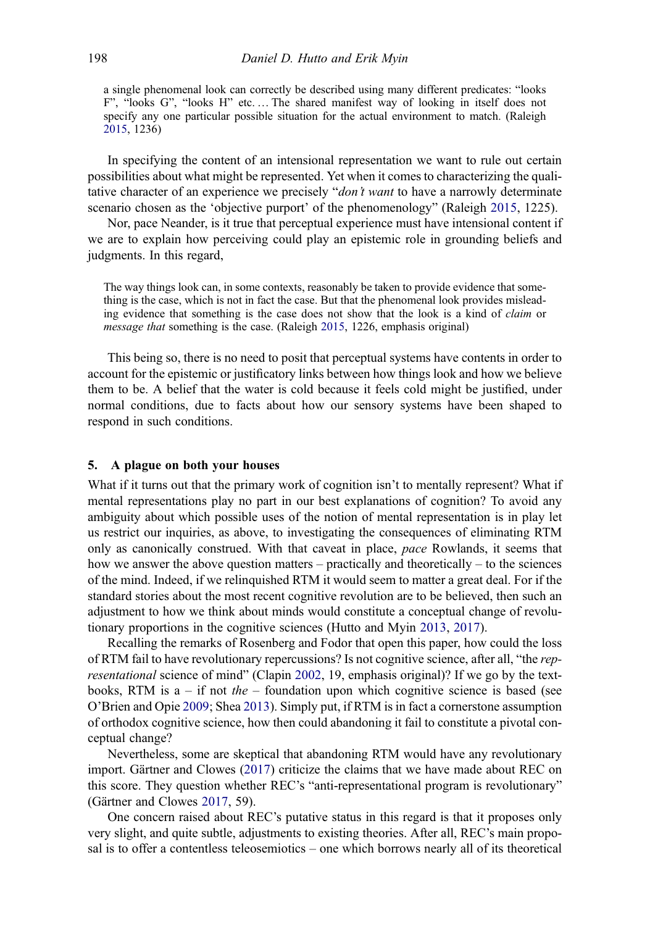<span id="page-12-0"></span>a single phenomenal look can correctly be described using many different predicates: "looks F", "looks G", "looks H" etc. … The shared manifest way of looking in itself does not specify any one particular possible situation for the actual environment to match. (Raleigh [2015,](#page-17-0) 1236)

In specifying the content of an intensional representation we want to rule out certain possibilities about what might be represented. Yet when it comes to characterizing the qualitative character of an experience we precisely "*don't want* to have a narrowly determinate scenario chosen as the 'objective purport' of the phenomenology" (Raleigh [2015,](#page-17-0) 1225).

Nor, pace Neander, is it true that perceptual experience must have intensional content if we are to explain how perceiving could play an epistemic role in grounding beliefs and judgments. In this regard,

The way things look can, in some contexts, reasonably be taken to provide evidence that something is the case, which is not in fact the case. But that the phenomenal look provides misleading evidence that something is the case does not show that the look is a kind of claim or message that something is the case. (Raleigh [2015,](#page-17-0) 1226, emphasis original)

This being so, there is no need to posit that perceptual systems have contents in order to account for the epistemic or justificatory links between how things look and how we believe them to be. A belief that the water is cold because it feels cold might be justified, under normal conditions, due to facts about how our sensory systems have been shaped to respond in such conditions.

#### 5. A plague on both your houses

What if it turns out that the primary work of cognition isn't to mentally represent? What if mental representations play no part in our best explanations of cognition? To avoid any ambiguity about which possible uses of the notion of mental representation is in play let us restrict our inquiries, as above, to investigating the consequences of eliminating RTM only as canonically construed. With that caveat in place, pace Rowlands, it seems that how we answer the above question matters – practically and theoretically – to the sciences of the mind. Indeed, if we relinquished RTM it would seem to matter a great deal. For if the standard stories about the most recent cognitive revolution are to be believed, then such an adjustment to how we think about minds would constitute a conceptual change of revolutionary proportions in the cognitive sciences (Hutto and Myin [2013,](#page-16-0) [2017](#page-16-0)).

Recalling the remarks of Rosenberg and Fodor that open this paper, how could the loss of RTM fail to have revolutionary repercussions? Is not cognitive science, after all, "the representational science of mind" (Clapin [2002,](#page-16-0) 19, emphasis original)? If we go by the textbooks, RTM is  $a - if$  not the – foundation upon which cognitive science is based (see O'Brien and Opie [2009;](#page-16-0) Shea [2013\)](#page-17-0). Simply put, if RTM is in fact a cornerstone assumption of orthodox cognitive science, how then could abandoning it fail to constitute a pivotal conceptual change?

Nevertheless, some are skeptical that abandoning RTM would have any revolutionary import. Gärtner and Clowes [\(2017](#page-16-0)) criticize the claims that we have made about REC on this score. They question whether REC's "anti-representational program is revolutionary" (Gärtner and Clowes [2017](#page-16-0), 59).

One concern raised about REC's putative status in this regard is that it proposes only very slight, and quite subtle, adjustments to existing theories. After all, REC's main proposal is to offer a contentless teleosemiotics – one which borrows nearly all of its theoretical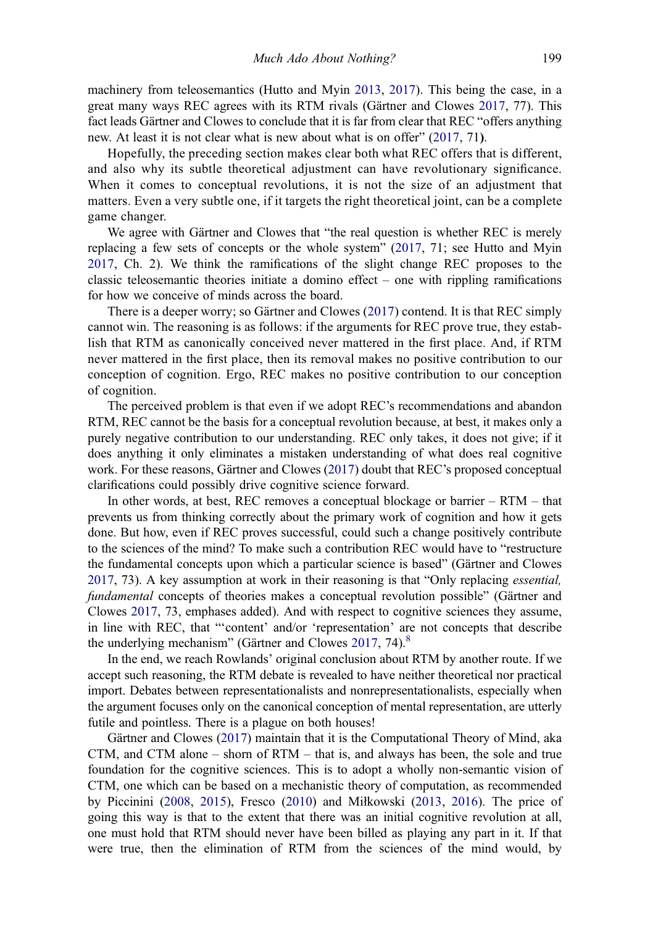<span id="page-13-0"></span>machinery from teleosemantics (Hutto and Myin [2013](#page-16-0), [2017\)](#page-16-0). This being the case, in a great many ways REC agrees with its RTM rivals (Gärtner and Clowes [2017,](#page-16-0) 77). This fact leads Gärtner and Clowes to conclude that it is far from clear that REC "offers anything new. At least it is not clear what is new about what is on offer" ([2017,](#page-16-0) 71).

Hopefully, the preceding section makes clear both what REC offers that is different, and also why its subtle theoretical adjustment can have revolutionary significance. When it comes to conceptual revolutions, it is not the size of an adjustment that matters. Even a very subtle one, if it targets the right theoretical joint, can be a complete game changer.

We agree with Gärtner and Clowes that "the real question is whether REC is merely replacing a few sets of concepts or the whole system" [\(2017](#page-16-0), 71; see Hutto and Myin [2017,](#page-16-0) Ch. 2). We think the ramifications of the slight change REC proposes to the classic teleosemantic theories initiate a domino effect – one with rippling ramifications for how we conceive of minds across the board.

There is a deeper worry; so Gärtner and Clowes [\(2017\)](#page-16-0) contend. It is that REC simply cannot win. The reasoning is as follows: if the arguments for REC prove true, they establish that RTM as canonically conceived never mattered in the first place. And, if RTM never mattered in the first place, then its removal makes no positive contribution to our conception of cognition. Ergo, REC makes no positive contribution to our conception of cognition.

The perceived problem is that even if we adopt REC's recommendations and abandon RTM, REC cannot be the basis for a conceptual revolution because, at best, it makes only a purely negative contribution to our understanding. REC only takes, it does not give; if it does anything it only eliminates a mistaken understanding of what does real cognitive work. For these reasons, Gärtner and Clowes [\(2017](#page-16-0)) doubt that REC's proposed conceptual clarifications could possibly drive cognitive science forward.

In other words, at best, REC removes a conceptual blockage or barrier – RTM – that prevents us from thinking correctly about the primary work of cognition and how it gets done. But how, even if REC proves successful, could such a change positively contribute to the sciences of the mind? To make such a contribution REC would have to "restructure the fundamental concepts upon which a particular science is based" (Gärtner and Clowes [2017,](#page-16-0) 73). A key assumption at work in their reasoning is that "Only replacing essential, fundamental concepts of theories makes a conceptual revolution possible" (Gärtner and Clowes [2017,](#page-16-0) 73, emphases added). And with respect to cognitive sciences they assume, in line with REC, that "'content' and/or 'representation' are not concepts that describe the underlying mechanism" (Gärtner and Clowes [2017,](#page-16-0) 74).<sup>8</sup>

In the end, we reach Rowlands' original conclusion about RTM by another route. If we accept such reasoning, the RTM debate is revealed to have neither theoretical nor practical import. Debates between representationalists and nonrepresentationalists, especially when the argument focuses only on the canonical conception of mental representation, are utterly futile and pointless. There is a plague on both houses!

Gärtner and Clowes ([2017\)](#page-16-0) maintain that it is the Computational Theory of Mind, aka CTM, and CTM alone – shorn of RTM – that is, and always has been, the sole and true foundation for the cognitive sciences. This is to adopt a wholly non-semantic vision of CTM, one which can be based on a mechanistic theory of computation, as recommended by Piccinini ([2008,](#page-16-0) [2015](#page-16-0)), Fresco [\(2010](#page-16-0)) and Miłkowski ([2013,](#page-16-0) [2016\)](#page-16-0). The price of going this way is that to the extent that there was an initial cognitive revolution at all, one must hold that RTM should never have been billed as playing any part in it. If that were true, then the elimination of RTM from the sciences of the mind would, by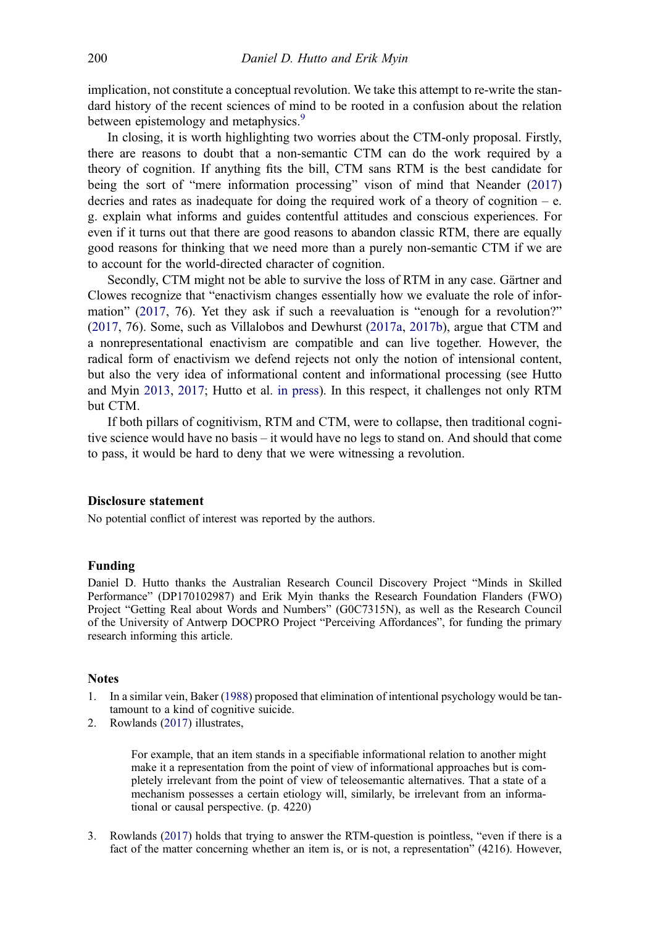<span id="page-14-0"></span>implication, not constitute a conceptual revolution. We take this attempt to re-write the standard history of the recent sciences of mind to be rooted in a confusion about the relation between epistemology and metaphysics.<sup>9</sup>

In closing, it is worth highlighting two worries about the CTM-only proposal. Firstly, there are reasons to doubt that a non-semantic CTM can do the work required by a theory of cognition. If anything fits the bill, CTM sans RTM is the best candidate for being the sort of "mere information processing" vison of mind that Neander [\(2017](#page-16-0)) decries and rates as inadequate for doing the required work of a theory of cognition – e. g. explain what informs and guides contentful attitudes and conscious experiences. For even if it turns out that there are good reasons to abandon classic RTM, there are equally good reasons for thinking that we need more than a purely non-semantic CTM if we are to account for the world-directed character of cognition.

Secondly, CTM might not be able to survive the loss of RTM in any case. Gärtner and Clowes recognize that "enactivism changes essentially how we evaluate the role of information" ([2017](#page-16-0), 76). Yet they ask if such a reevaluation is "enough for a revolution?" ([2017,](#page-16-0) 76). Some, such as Villalobos and Dewhurst [\(2017a](#page-17-0), [2017b](#page-17-0)), argue that CTM and a nonrepresentational enactivism are compatible and can live together. However, the radical form of enactivism we defend rejects not only the notion of intensional content, but also the very idea of informational content and informational processing (see Hutto and Myin [2013](#page-16-0), [2017](#page-16-0); Hutto et al. [in press](#page-16-0)). In this respect, it challenges not only RTM but CTM.

If both pillars of cognitivism, RTM and CTM, were to collapse, then traditional cognitive science would have no basis – it would have no legs to stand on. And should that come to pass, it would be hard to deny that we were witnessing a revolution.

#### Disclosure statement

No potential conflict of interest was reported by the authors.

#### Funding

Daniel D. Hutto thanks the Australian Research Council Discovery Project "Minds in Skilled Performance" (DP170102987) and Erik Myin thanks the Research Foundation Flanders (FWO) Project "Getting Real about Words and Numbers" (G0C7315N), as well as the Research Council of the University of Antwerp DOCPRO Project "Perceiving Affordances", for funding the primary research informing this article.

#### **Notes**

- 1. In a similar vein, Baker ([1988\)](#page-16-0) proposed that elimination of intentional psychology would be tantamount to a kind of cognitive suicide.
- 2. Rowlands ([2017\)](#page-17-0) illustrates,

For example, that an item stands in a specifiable informational relation to another might make it a representation from the point of view of informational approaches but is completely irrelevant from the point of view of teleosemantic alternatives. That a state of a mechanism possesses a certain etiology will, similarly, be irrelevant from an informational or causal perspective. (p. 4220)

3. Rowlands ([2017\)](#page-17-0) holds that trying to answer the RTM-question is pointless, "even if there is a fact of the matter concerning whether an item is, or is not, a representation" (4216). However,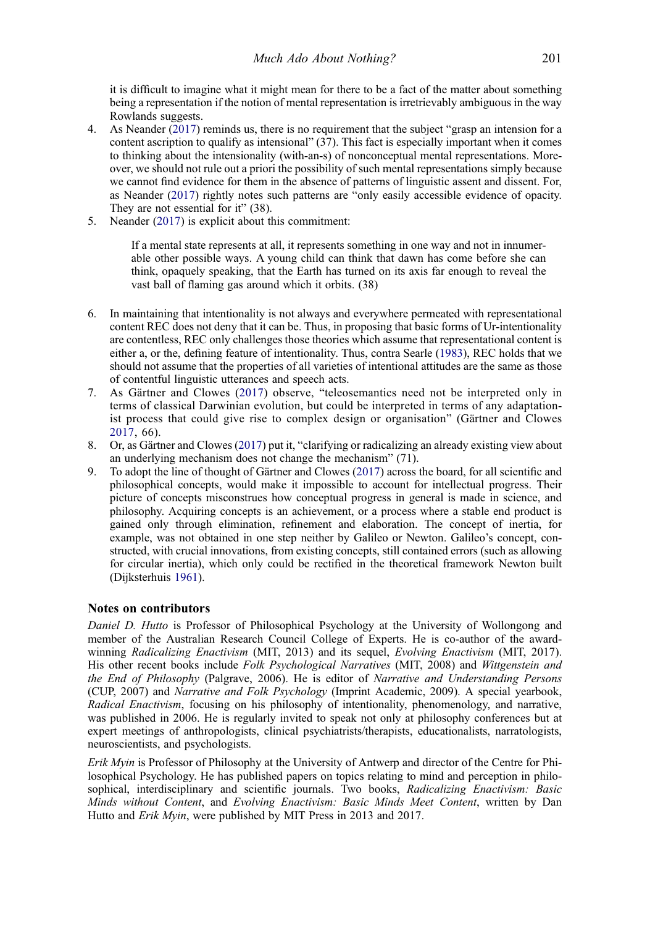<span id="page-15-0"></span>it is difficult to imagine what it might mean for there to be a fact of the matter about something being a representation if the notion of mental representation is irretrievably ambiguous in the way Rowlands suggests.

- 4. As Neander ([2017\)](#page-16-0) reminds us, there is no requirement that the subject "grasp an intension for a content ascription to qualify as intensional" (37). This fact is especially important when it comes to thinking about the intensionality (with-an-s) of nonconceptual mental representations. Moreover, we should not rule out a priori the possibility of such mental representations simply because we cannot find evidence for them in the absence of patterns of linguistic assent and dissent. For, as Neander [\(2017](#page-16-0)) rightly notes such patterns are "only easily accessible evidence of opacity. They are not essential for it" (38).
- 5. Neander [\(2017](#page-16-0)) is explicit about this commitment:

If a mental state represents at all, it represents something in one way and not in innumerable other possible ways. A young child can think that dawn has come before she can think, opaquely speaking, that the Earth has turned on its axis far enough to reveal the vast ball of flaming gas around which it orbits. (38)

- 6. In maintaining that intentionality is not always and everywhere permeated with representational content REC does not deny that it can be. Thus, in proposing that basic forms of Ur-intentionality are contentless, REC only challenges those theories which assume that representational content is either a, or the, defining feature of intentionality. Thus, contra Searle ([1983\)](#page-17-0), REC holds that we should not assume that the properties of all varieties of intentional attitudes are the same as those of contentful linguistic utterances and speech acts.
- 7. As Gärtner and Clowes ([2017](#page-16-0)) observe, "teleosemantics need not be interpreted only in terms of classical Darwinian evolution, but could be interpreted in terms of any adaptationist process that could give rise to complex design or organisation" (Gärtner and Clowes [2017](#page-16-0), 66).
- 8. Or, as Gärtner and Clowes [\(2017](#page-16-0)) put it, "clarifying or radicalizing an already existing view about an underlying mechanism does not change the mechanism" (71).
- 9. To adopt the line of thought of Gärtner and Clowes ([2017\)](#page-16-0) across the board, for all scientific and philosophical concepts, would make it impossible to account for intellectual progress. Their picture of concepts misconstrues how conceptual progress in general is made in science, and philosophy. Acquiring concepts is an achievement, or a process where a stable end product is gained only through elimination, refinement and elaboration. The concept of inertia, for example, was not obtained in one step neither by Galileo or Newton. Galileo's concept, constructed, with crucial innovations, from existing concepts, still contained errors (such as allowing for circular inertia), which only could be rectified in the theoretical framework Newton built (Dijksterhuis [1961](#page-16-0)).

#### Notes on contributors

Daniel D. Hutto is Professor of Philosophical Psychology at the University of Wollongong and member of the Australian Research Council College of Experts. He is co-author of the awardwinning Radicalizing Enactivism (MIT, 2013) and its sequel, Evolving Enactivism (MIT, 2017). His other recent books include Folk Psychological Narratives (MIT, 2008) and Wittgenstein and the End of Philosophy (Palgrave, 2006). He is editor of Narrative and Understanding Persons (CUP, 2007) and Narrative and Folk Psychology (Imprint Academic, 2009). A special yearbook, Radical Enactivism, focusing on his philosophy of intentionality, phenomenology, and narrative, was published in 2006. He is regularly invited to speak not only at philosophy conferences but at expert meetings of anthropologists, clinical psychiatrists/therapists, educationalists, narratologists, neuroscientists, and psychologists.

Erik Myin is Professor of Philosophy at the University of Antwerp and director of the Centre for Philosophical Psychology. He has published papers on topics relating to mind and perception in philosophical, interdisciplinary and scientific journals. Two books, Radicalizing Enactivism: Basic Minds without Content, and Evolving Enactivism: Basic Minds Meet Content, written by Dan Hutto and Erik Myin, were published by MIT Press in 2013 and 2017.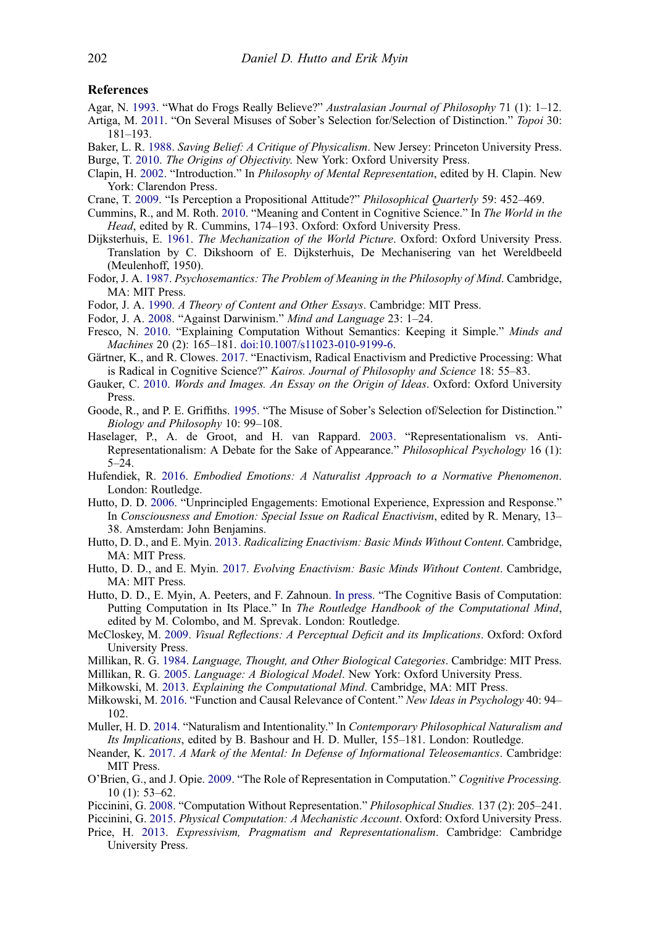#### <span id="page-16-0"></span>References

- Agar, N. [1993](#page-10-0). "What do Frogs Really Believe?" Australasian Journal of Philosophy 71 (1): 1–12.
- Artiga, M. [2011](#page-9-0). "On Several Misuses of Sober's Selection for/Selection of Distinction." Topoi 30: 181–193.
- Baker, L. R. [1988](#page-14-0). Saving Belief: A Critique of Physicalism. New Jersey: Princeton University Press. Burge, T. [2010](#page-5-0). The Origins of Objectivity. New York: Oxford University Press.
- Clapin, H. [2002](#page-12-0). "Introduction." In Philosophy of Mental Representation, edited by H. Clapin. New York: Clarendon Press.
- Crane, T. [2009.](#page-5-0) "Is Perception a Propositional Attitude?" Philosophical Quarterly 59: 452–469.
- Cummins, R., and M. Roth. [2010](#page-5-0). "Meaning and Content in Cognitive Science." In The World in the Head, edited by R. Cummins, 174-193. Oxford: Oxford University Press.
- Dijksterhuis, E. [1961.](#page-15-0) The Mechanization of the World Picture. Oxford: Oxford University Press. Translation by C. Dikshoorn of E. Dijksterhuis, De Mechanisering van het Wereldbeeld (Meulenhoff, 1950).
- Fodor, J. A. [1987](#page-2-0). Psychosemantics: The Problem of Meaning in the Philosophy of Mind. Cambridge, MA: MIT Press.
- Fodor, J. A. [1990](#page-10-0). A Theory of Content and Other Essays. Cambridge: MIT Press.
- Fodor, J. A. [2008](#page-10-0). "Against Darwinism." Mind and Language 23: 1–24.
- Fresco, N. [2010](#page-13-0). "Explaining Computation Without Semantics: Keeping it Simple." Minds and Machines 20 (2): 165–181. [doi:10.1007/s11023-010-9199-6](https://doi.org/10.1007/s11023-010-9199-6).
- Gärtner, K., and R. Clowes. [2017](#page-12-0). "Enactivism, Radical Enactivism and Predictive Processing: What is Radical in Cognitive Science?" Kairos. Journal of Philosophy and Science 18: 55–83.
- Gauker, C. [2010](#page-5-0). Words and Images. An Essay on the Origin of Ideas. Oxford: Oxford University Press.
- Goode, R., and P. E. Griffiths. [1995](#page-10-0). "The Misuse of Sober's Selection of/Selection for Distinction." Biology and Philosophy 10: 99–108.
- Haselager, P., A. de Groot, and H. van Rappard. [2003.](#page-3-0) "Representationalism vs. Anti-Representationalism: A Debate for the Sake of Appearance." Philosophical Psychology 16 (1):  $5 - 24.$
- Hufendiek, R. [2016.](#page-11-0) Embodied Emotions: A Naturalist Approach to a Normative Phenomenon. London: Routledge.
- Hutto, D. D. [2006](#page-11-0). "Unprincipled Engagements: Emotional Experience, Expression and Response." In Consciousness and Emotion: Special Issue on Radical Enactivism, edited by R. Menary, 13– 38. Amsterdam: John Benjamins.
- Hutto, D. D., and E. Myin. [2013.](#page-11-0) Radicalizing Enactivism: Basic Minds Without Content. Cambridge, MA: MIT Press.
- Hutto, D. D., and E. Myin. [2017](#page-5-0). Evolving Enactivism: Basic Minds Without Content. Cambridge, MA: MIT Press.
- Hutto, D. D., E. Myin, A. Peeters, and F. Zahnoun. [In press.](#page-14-0) "The Cognitive Basis of Computation: Putting Computation in Its Place." In The Routledge Handbook of the Computational Mind, edited by M. Colombo, and M. Sprevak. London: Routledge.
- McCloskey, M. [2009](#page-7-0). Visual Reflections: A Perceptual Deficit and its Implications. Oxford: Oxford University Press.
- Millikan, R. G. [1984](#page-9-0). Language, Thought, and Other Biological Categories. Cambridge: MIT Press.
- Millikan, R. G. [2005.](#page-9-0) Language: A Biological Model. New York: Oxford University Press.

Miłkowski, M. [2013](#page-13-0). Explaining the Computational Mind. Cambridge, MA: MIT Press.

- Miłkowski, M. [2016.](#page-13-0) "Function and Causal Relevance of Content." New Ideas in Psychology 40: 94– 102.
- Muller, H. D. [2014.](#page-9-0) "Naturalism and Intentionality." In Contemporary Philosophical Naturalism and Its Implications, edited by B. Bashour and H. D. Muller, 155–181. London: Routledge.
- Neander, K. [2017](#page-5-0). A Mark of the Mental: In Defense of Informational Teleosemantics. Cambridge: MIT Press.
- O'Brien, G., and J. Opie. [2009.](#page-12-0) "The Role of Representation in Computation." Cognitive Processing. 10 (1): 53–62.
- Piccinini, G. [2008](#page-13-0). "Computation Without Representation." Philosophical Studies. 137 (2): 205–241.
- Piccinini, G. [2015.](#page-13-0) Physical Computation: A Mechanistic Account. Oxford: Oxford University Press.
- Price, H. [2013.](#page-6-0) Expressivism, Pragmatism and Representationalism. Cambridge: Cambridge University Press.